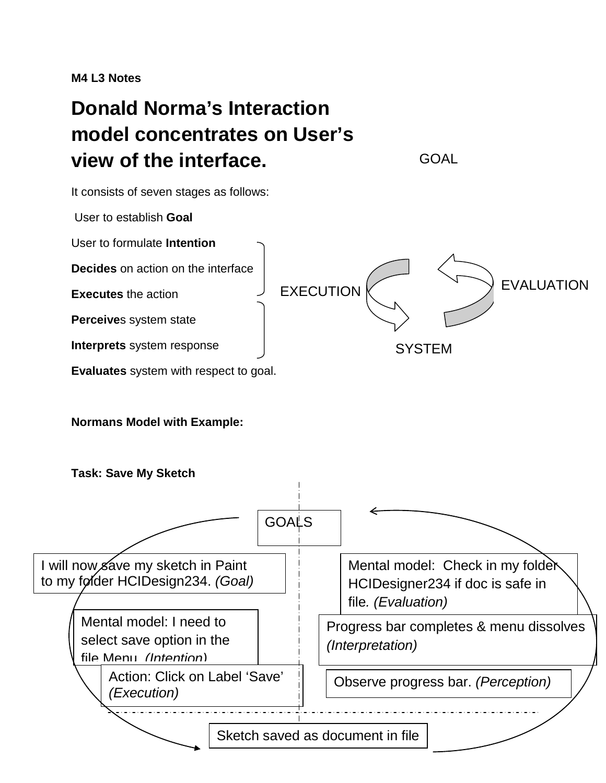**M4 L3 Notes**

# **Donald Norma's Interaction model concentrates on User's view of the interface.**

It consists of seven stages as follows:

User to establish **Goal**

User to formulate **Intention**

**Decides** on action on the interface

**Executes** the action

**Perceive**s system state

**Interprets** system response

**Evaluates** system with respect to goal.

### **Normans Model with Example:**



**GOAL** 

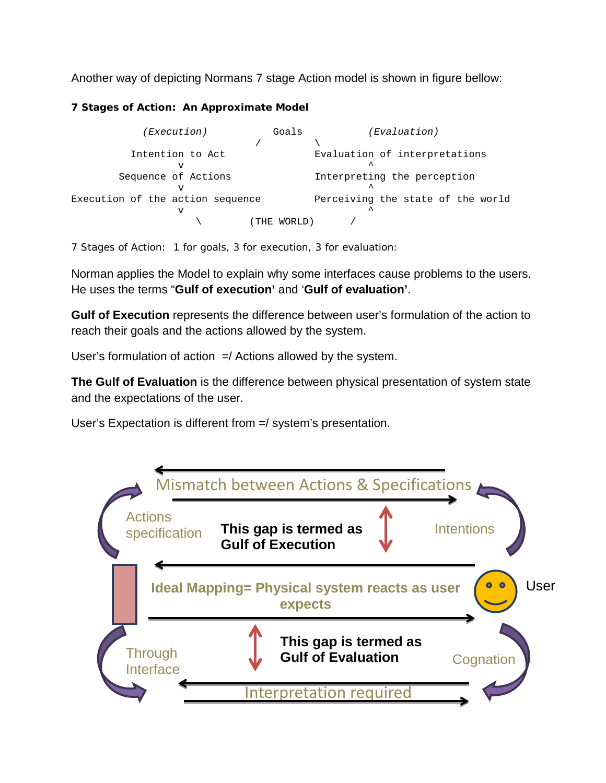Another way of depicting Normans 7 stage Action model is shown in figure bellow:

#### *7 Stages of Action: An Approximate Model*

| (Execution)                           |       | Goals  | (Evaluation)                       |
|---------------------------------------|-------|--------|------------------------------------|
|                                       |       |        |                                    |
| Intention to Act                      |       |        | Evaluation of interpretations<br>ㅅ |
| Sequence of Actions                   |       |        | Interpreting the perception        |
| Execution of the action sequence<br>v |       |        | Perceiving the state of the world  |
|                                       | ( THE | WORLD) |                                    |

*7 Stages of Action: 1 for goals, 3 for execution, 3 for evaluation:*

Norman applies the Model to explain why some interfaces cause problems to the users. He uses the terms "**Gulf of execution'** and '**Gulf of evaluation'**.

**Gulf of Execution** represents the difference between user's formulation of the action to reach their goals and the actions allowed by the system.

User's formulation of action  $=$ / Actions allowed by the system.

**The Gulf of Evaluation** is the difference between physical presentation of system state and the expectations of the user.

User's Expectation is different from =/ system's presentation.

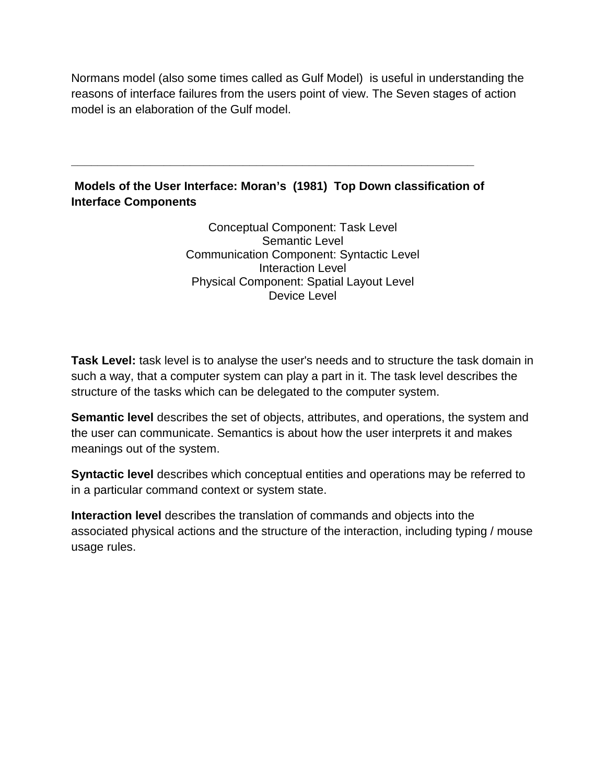Normans model (also some times called as Gulf Model) is useful in understanding the reasons of interface failures from the users point of view. The Seven stages of action model is an elaboration of the Gulf model.

## **Models of the User Interface: Moran's (1981) Top Down classification of Interface Components**

**\_\_\_\_\_\_\_\_\_\_\_\_\_\_\_\_\_\_\_\_\_\_\_\_\_\_\_\_\_\_\_\_\_\_\_\_\_\_\_\_\_\_\_\_\_\_\_\_\_\_\_\_\_\_\_\_\_\_\_\_\_**

Conceptual Component: Task Level Semantic Level Communication Component: Syntactic Level Interaction Level Physical Component: Spatial Layout Level Device Level

**Task Level:** task level is to analyse the user's needs and to structure the task domain in such a way, that a computer system can play a part in it. The task level describes the structure of the tasks which can be delegated to the computer system.

**Semantic level** describes the set of objects, attributes, and operations, the system and the user can communicate. Semantics is about how the user interprets it and makes meanings out of the system.

**Syntactic level** describes which conceptual entities and operations may be referred to in a particular command context or system state.

**Interaction level** describes the translation of commands and objects into the associated physical actions and the structure of the interaction, including typing / mouse usage rules.